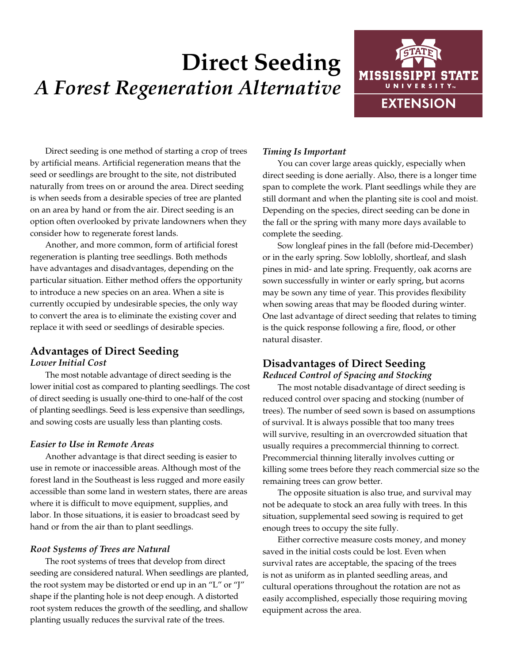# **Direct Seeding** *A Forest Regeneration Alternative*



Direct seeding is one method of starting a crop of trees by artificial means. Artificial regeneration means that the seed or seedlings are brought to the site, not distributed naturally from trees on or around the area. Direct seeding is when seeds from a desirable species of tree are planted on an area by hand or from the air. Direct seeding is an option often overlooked by private landowners when they consider how to regenerate forest lands.

Another, and more common, form of artificial forest regeneration is planting tree seedlings. Both methods have advantages and disadvantages, depending on the particular situation. Either method offers the opportunity to introduce a new species on an area. When a site is currently occupied by undesirable species, the only way to convert the area is to eliminate the existing cover and replace it with seed or seedlings of desirable species.

# **Advantages of Direct Seeding**

#### *Lower Initial Cost*

The most notable advantage of direct seeding is the lower initial cost as compared to planting seedlings. The cost of direct seeding is usually one-third to one-half of the cost of planting seedlings. Seed is less expensive than seedlings, and sowing costs are usually less than planting costs.

## *Easier to Use in Remote Areas*

Another advantage is that direct seeding is easier to use in remote or inaccessible areas. Although most of the forest land in the Southeast is less rugged and more easily accessible than some land in western states, there are areas where it is difficult to move equipment, supplies, and labor. In those situations, it is easier to broadcast seed by hand or from the air than to plant seedlings.

## *Root Systems of Trees are Natural*

The root systems of trees that develop from direct seeding are considered natural. When seedlings are planted, the root system may be distorted or end up in an "L" or "J" shape if the planting hole is not deep enough. A distorted root system reduces the growth of the seedling, and shallow planting usually reduces the survival rate of the trees.

# *Timing Is Important*

You can cover large areas quickly, especially when direct seeding is done aerially. Also, there is a longer time span to complete the work. Plant seedlings while they are still dormant and when the planting site is cool and moist. Depending on the species, direct seeding can be done in the fall or the spring with many more days available to complete the seeding.

Sow longleaf pines in the fall (before mid-December) or in the early spring. Sow loblolly, shortleaf, and slash pines in mid- and late spring. Frequently, oak acorns are sown successfully in winter or early spring, but acorns may be sown any time of year. This provides flexibility when sowing areas that may be flooded during winter. One last advantage of direct seeding that relates to timing is the quick response following a fire, flood, or other natural disaster.

# **Disadvantages of Direct Seeding** *Reduced Control of Spacing and Stocking*

The most notable disadvantage of direct seeding is reduced control over spacing and stocking (number of trees). The number of seed sown is based on assumptions of survival. It is always possible that too many trees will survive, resulting in an overcrowded situation that usually requires a precommercial thinning to correct. Precommercial thinning literally involves cutting or killing some trees before they reach commercial size so the remaining trees can grow better.

The opposite situation is also true, and survival may not be adequate to stock an area fully with trees. In this situation, supplemental seed sowing is required to get enough trees to occupy the site fully.

Either corrective measure costs money, and money saved in the initial costs could be lost. Even when survival rates are acceptable, the spacing of the trees is not as uniform as in planted seedling areas, and cultural operations throughout the rotation are not as easily accomplished, especially those requiring moving equipment across the area.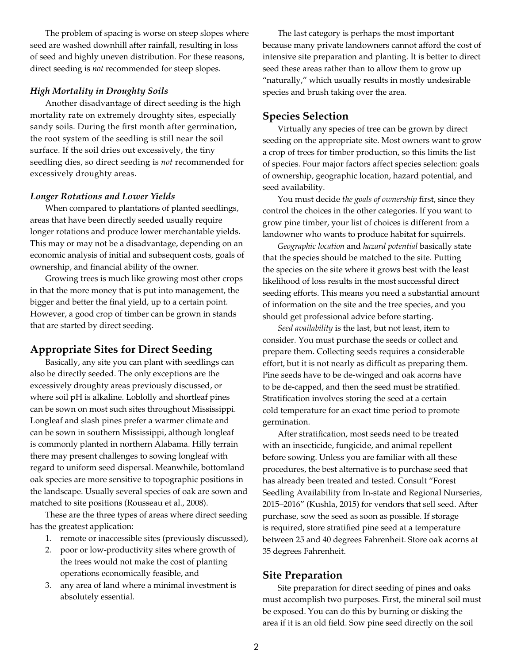The problem of spacing is worse on steep slopes where seed are washed downhill after rainfall, resulting in loss of seed and highly uneven distribution. For these reasons, direct seeding is *not* recommended for steep slopes.

#### *High Mortality in Droughty Soils*

Another disadvantage of direct seeding is the high mortality rate on extremely droughty sites, especially sandy soils. During the first month after germination, the root system of the seedling is still near the soil surface. If the soil dries out excessively, the tiny seedling dies, so direct seeding is *not* recommended for excessively droughty areas.

#### *Longer Rotations and Lower Yields*

When compared to plantations of planted seedlings, areas that have been directly seeded usually require longer rotations and produce lower merchantable yields. This may or may not be a disadvantage, depending on an economic analysis of initial and subsequent costs, goals of ownership, and financial ability of the owner.

Growing trees is much like growing most other crops in that the more money that is put into management, the bigger and better the final yield, up to a certain point. However, a good crop of timber can be grown in stands that are started by direct seeding.

## **Appropriate Sites for Direct Seeding**

Basically, any site you can plant with seedlings can also be directly seeded. The only exceptions are the excessively droughty areas previously discussed, or where soil pH is alkaline. Loblolly and shortleaf pines can be sown on most such sites throughout Mississippi. Longleaf and slash pines prefer a warmer climate and can be sown in southern Mississippi, although longleaf is commonly planted in northern Alabama. Hilly terrain there may present challenges to sowing longleaf with regard to uniform seed dispersal. Meanwhile, bottomland oak species are more sensitive to topographic positions in the landscape. Usually several species of oak are sown and matched to site positions (Rousseau et al., 2008).

These are the three types of areas where direct seeding has the greatest application:

- 1. remote or inaccessible sites (previously discussed),
- 2. poor or low-productivity sites where growth of the trees would not make the cost of planting operations economically feasible, and
- 3. any area of land where a minimal investment is absolutely essential.

The last category is perhaps the most important because many private landowners cannot afford the cost of intensive site preparation and planting. It is better to direct seed these areas rather than to allow them to grow up "naturally," which usually results in mostly undesirable species and brush taking over the area.

#### **Species Selection**

Virtually any species of tree can be grown by direct seeding on the appropriate site. Most owners want to grow a crop of trees for timber production, so this limits the list of species. Four major factors affect species selection: goals of ownership, geographic location, hazard potential, and seed availability.

You must decide *the goals of ownership* first, since they control the choices in the other categories. If you want to grow pine timber, your list of choices is different from a landowner who wants to produce habitat for squirrels.

*Geographic location* and *hazard potential* basically state that the species should be matched to the site. Putting the species on the site where it grows best with the least likelihood of loss results in the most successful direct seeding efforts. This means you need a substantial amount of information on the site and the tree species, and you should get professional advice before starting.

*Seed availability* is the last, but not least, item to consider. You must purchase the seeds or collect and prepare them. Collecting seeds requires a considerable effort, but it is not nearly as difficult as preparing them. Pine seeds have to be de-winged and oak acorns have to be de-capped, and then the seed must be stratified. Stratification involves storing the seed at a certain cold temperature for an exact time period to promote germination.

After stratification, most seeds need to be treated with an insecticide, fungicide, and animal repellent before sowing. Unless you are familiar with all these procedures, the best alternative is to purchase seed that has already been treated and tested. Consult "Forest Seedling Availability from In-state and Regional Nurseries, 2015–2016" (Kushla, 2015) for vendors that sell seed. After purchase, sow the seed as soon as possible. If storage is required, store stratified pine seed at a temperature between 25 and 40 degrees Fahrenheit. Store oak acorns at 35 degrees Fahrenheit.

#### **Site Preparation**

Site preparation for direct seeding of pines and oaks must accomplish two purposes. First, the mineral soil must be exposed. You can do this by burning or disking the area if it is an old field. Sow pine seed directly on the soil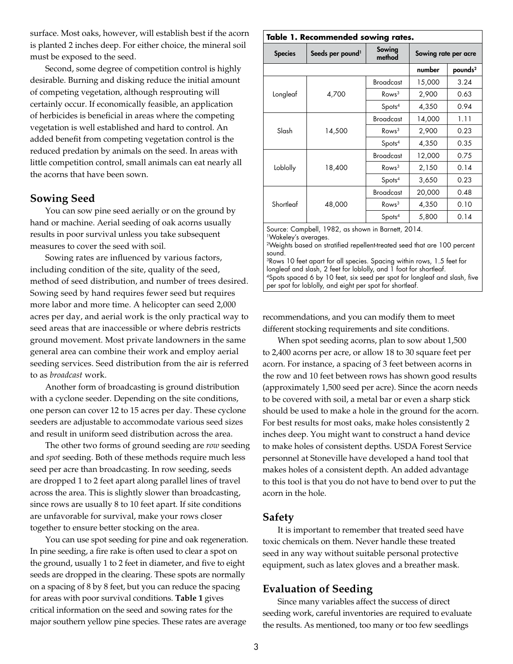surface. Most oaks, however, will establish best if the acorn is planted 2 inches deep. For either choice, the mineral soil must be exposed to the seed.

Second, some degree of competition control is highly desirable. Burning and disking reduce the initial amount of competing vegetation, although resprouting will certainly occur. If economically feasible, an application of herbicides is beneficial in areas where the competing vegetation is well established and hard to control. An added benefit from competing vegetation control is the reduced predation by animals on the seed. In areas with little competition control, small animals can eat nearly all the acorns that have been sown.

## **Sowing Seed**

You can sow pine seed aerially or on the ground by hand or machine. Aerial seeding of oak acorns usually results in poor survival unless you take subsequent measures to cover the seed with soil.

Sowing rates are influenced by various factors, including condition of the site, quality of the seed, method of seed distribution, and number of trees desired. Sowing seed by hand requires fewer seed but requires more labor and more time. A helicopter can seed 2,000 acres per day, and aerial work is the only practical way to seed areas that are inaccessible or where debris restricts ground movement. Most private landowners in the same general area can combine their work and employ aerial seeding services. Seed distribution from the air is referred to as *broadcast* work.

Another form of broadcasting is ground distribution with a cyclone seeder. Depending on the site conditions, one person can cover 12 to 15 acres per day. These cyclone seeders are adjustable to accommodate various seed sizes and result in uniform seed distribution across the area.

The other two forms of ground seeding are *row* seeding and *spot* seeding. Both of these methods require much less seed per acre than broadcasting. In row seeding, seeds are dropped 1 to 2 feet apart along parallel lines of travel across the area. This is slightly slower than broadcasting, since rows are usually 8 to 10 feet apart. If site conditions are unfavorable for survival, make your rows closer together to ensure better stocking on the area.

You can use spot seeding for pine and oak regeneration. In pine seeding, a fire rake is often used to clear a spot on the ground, usually 1 to 2 feet in diameter, and five to eight seeds are dropped in the clearing. These spots are normally on a spacing of 8 by 8 feet, but you can reduce the spacing for areas with poor survival conditions. **Table 1** gives critical information on the seed and sowing rates for the major southern yellow pine species. These rates are average

| Table 1. Recommended sowing rates. |                              |                    |                      |                     |
|------------------------------------|------------------------------|--------------------|----------------------|---------------------|
| <b>Species</b>                     | Seeds per pound <sup>1</sup> | Sowing<br>method   | Sowing rate per acre |                     |
|                                    |                              |                    | number               | pounds <sup>2</sup> |
| Longleaf                           | 4,700                        | <b>Broadcast</b>   | 15,000               | 3.24                |
|                                    |                              | Rows <sup>3</sup>  | 2,900                | 0.63                |
|                                    |                              | Spots <sup>4</sup> | 4,350                | 0.94                |
| Slash                              | 14,500                       | <b>Broadcast</b>   | 14,000               | 1.11                |
|                                    |                              | Rows <sup>3</sup>  | 2,900                | 0.23                |
|                                    |                              | Spots <sup>4</sup> | 4,350                | 0.35                |
| Loblolly                           | 18,400                       | <b>Broadcast</b>   | 12,000               | 0.75                |
|                                    |                              | Rows <sup>3</sup>  | 2,150                | 0.14                |
|                                    |                              | Spots <sup>4</sup> | 3,650                | 0.23                |
| Shortleaf                          | 48,000                       | <b>Broadcast</b>   | 20,000               | 0.48                |
|                                    |                              | Rows <sup>3</sup>  | 4,350                | 0.10                |
|                                    |                              | Spots <sup>4</sup> | 5,800                | 0.14                |

Source: Campbell, 1982, as shown in Barnett, 2014. 1Wakeley's averages.

2Weights based on stratified repellent-treated seed that are 100 percent sound.

3Rows 10 feet apart for all species. Spacing within rows, 1.5 feet for longleaf and slash, 2 feet for loblolly, and 1 foot for shortleaf. 4Spots spaced 6 by 10 feet, six seed per spot for longleaf and slash, five per spot for loblolly, and eight per spot for shortleaf.

recommendations, and you can modify them to meet different stocking requirements and site conditions.

When spot seeding acorns, plan to sow about 1,500 to 2,400 acorns per acre, or allow 18 to 30 square feet per acorn. For instance, a spacing of 3 feet between acorns in the row and 10 feet between rows has shown good results (approximately 1,500 seed per acre). Since the acorn needs to be covered with soil, a metal bar or even a sharp stick should be used to make a hole in the ground for the acorn. For best results for most oaks, make holes consistently 2 inches deep. You might want to construct a hand device to make holes of consistent depths. USDA Forest Service personnel at Stoneville have developed a hand tool that makes holes of a consistent depth. An added advantage to this tool is that you do not have to bend over to put the acorn in the hole.

#### **Safety**

It is important to remember that treated seed have toxic chemicals on them. Never handle these treated seed in any way without suitable personal protective equipment, such as latex gloves and a breather mask.

## **Evaluation of Seeding**

Since many variables affect the success of direct seeding work, careful inventories are required to evaluate the results. As mentioned, too many or too few seedlings